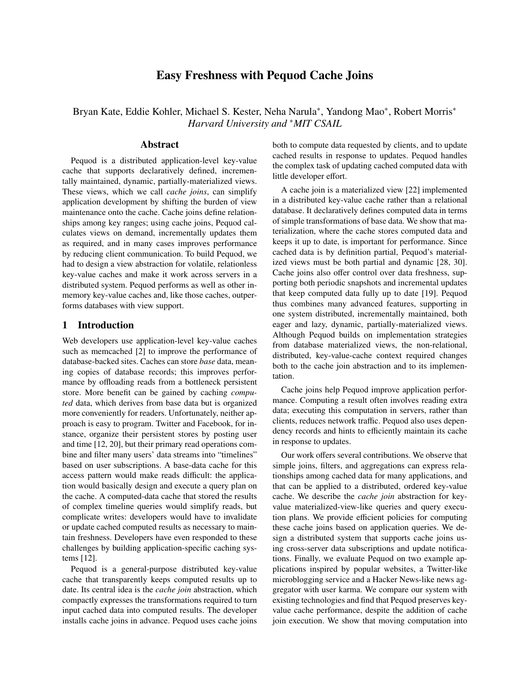# Easy Freshness with Pequod Cache Joins

Bryan Kate, Eddie Kohler, Michael S. Kester, Neha Narula<sup>\*</sup>, Yandong Mao<sup>\*</sup>, Robert Morris<sup>\*</sup> *Harvard University and* <sup>∗</sup>*MIT CSAIL*

## Abstract

Pequod is a distributed application-level key-value cache that supports declaratively defined, incrementally maintained, dynamic, partially-materialized views. These views, which we call *cache joins*, can simplify application development by shifting the burden of view maintenance onto the cache. Cache joins define relationships among key ranges; using cache joins, Pequod calculates views on demand, incrementally updates them as required, and in many cases improves performance by reducing client communication. To build Pequod, we had to design a view abstraction for volatile, relationless key-value caches and make it work across servers in a distributed system. Pequod performs as well as other inmemory key-value caches and, like those caches, outperforms databases with view support.

## 1 Introduction

Web developers use application-level key-value caches such as memcached [2] to improve the performance of database-backed sites. Caches can store *base* data, meaning copies of database records; this improves performance by offloading reads from a bottleneck persistent store. More benefit can be gained by caching *computed* data, which derives from base data but is organized more conveniently for readers. Unfortunately, neither approach is easy to program. Twitter and Facebook, for instance, organize their persistent stores by posting user and time [12, 20], but their primary read operations combine and filter many users' data streams into "timelines" based on user subscriptions. A base-data cache for this access pattern would make reads difficult: the application would basically design and execute a query plan on the cache. A computed-data cache that stored the results of complex timeline queries would simplify reads, but complicate writes: developers would have to invalidate or update cached computed results as necessary to maintain freshness. Developers have even responded to these challenges by building application-specific caching systems [12].

Pequod is a general-purpose distributed key-value cache that transparently keeps computed results up to date. Its central idea is the *cache join* abstraction, which compactly expresses the transformations required to turn input cached data into computed results. The developer installs cache joins in advance. Pequod uses cache joins both to compute data requested by clients, and to update cached results in response to updates. Pequod handles the complex task of updating cached computed data with little developer effort.

A cache join is a materialized view [22] implemented in a distributed key-value cache rather than a relational database. It declaratively defines computed data in terms of simple transformations of base data. We show that materialization, where the cache stores computed data and keeps it up to date, is important for performance. Since cached data is by definition partial, Pequod's materialized views must be both partial and dynamic [28, 30]. Cache joins also offer control over data freshness, supporting both periodic snapshots and incremental updates that keep computed data fully up to date [19]. Pequod thus combines many advanced features, supporting in one system distributed, incrementally maintained, both eager and lazy, dynamic, partially-materialized views. Although Pequod builds on implementation strategies from database materialized views, the non-relational, distributed, key-value-cache context required changes both to the cache join abstraction and to its implementation.

Cache joins help Pequod improve application performance. Computing a result often involves reading extra data; executing this computation in servers, rather than clients, reduces network traffic. Pequod also uses dependency records and hints to efficiently maintain its cache in response to updates.

Our work offers several contributions. We observe that simple joins, filters, and aggregations can express relationships among cached data for many applications, and that can be applied to a distributed, ordered key-value cache. We describe the *cache join* abstraction for keyvalue materialized-view-like queries and query execution plans. We provide efficient policies for computing these cache joins based on application queries. We design a distributed system that supports cache joins using cross-server data subscriptions and update notifications. Finally, we evaluate Pequod on two example applications inspired by popular websites, a Twitter-like microblogging service and a Hacker News-like news aggregator with user karma. We compare our system with existing technologies and find that Pequod preserves keyvalue cache performance, despite the addition of cache join execution. We show that moving computation into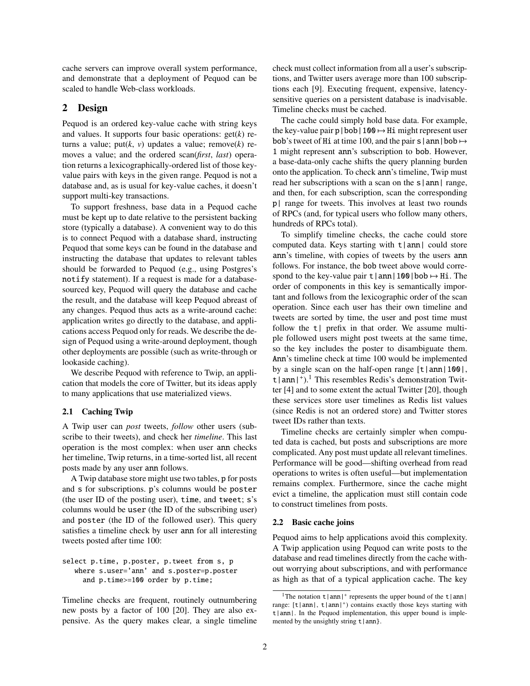cache servers can improve overall system performance, and demonstrate that a deployment of Pequod can be scaled to handle Web-class workloads.

## 2 Design

Pequod is an ordered key-value cache with string keys and values. It supports four basic operations: get(*k*) returns a value; put( $k$ ,  $v$ ) updates a value; remove( $k$ ) removes a value; and the ordered scan(*first*, *last*) operation returns a lexicographically-ordered list of those keyvalue pairs with keys in the given range. Pequod is not a database and, as is usual for key-value caches, it doesn't support multi-key transactions.

To support freshness, base data in a Pequod cache must be kept up to date relative to the persistent backing store (typically a database). A convenient way to do this is to connect Pequod with a database shard, instructing Pequod that some keys can be found in the database and instructing the database that updates to relevant tables should be forwarded to Pequod (e.g., using Postgres's notify statement). If a request is made for a databasesourced key, Pequod will query the database and cache the result, and the database will keep Pequod abreast of any changes. Pequod thus acts as a write-around cache: application writes go directly to the database, and applications access Pequod only for reads. We describe the design of Pequod using a write-around deployment, though other deployments are possible (such as write-through or lookaside caching).

We describe Pequod with reference to Twip, an application that models the core of Twitter, but its ideas apply to many applications that use materialized views.

#### 2.1 Caching Twip

A Twip user can *post* tweets, *follow* other users (subscribe to their tweets), and check her *timeline*. This last operation is the most complex: when user ann checks her timeline, Twip returns, in a time-sorted list, all recent posts made by any user ann follows.

A Twip database store might use two tables, p for posts and s for subscriptions. p's columns would be poster (the user ID of the posting user), time, and tweet; s's columns would be user (the ID of the subscribing user) and poster (the ID of the followed user). This query satisfies a timeline check by user ann for all interesting tweets posted after time 100:

select p.time, p.poster, p.tweet from s, p where s.user='ann' and s.poster=p.poster and p.time>=100 order by p.time;

Timeline checks are frequent, routinely outnumbering new posts by a factor of 100 [20]. They are also expensive. As the query makes clear, a single timeline check must collect information from all a user's subscriptions, and Twitter users average more than 100 subscriptions each [9]. Executing frequent, expensive, latencysensitive queries on a persistent database is inadvisable. Timeline checks must be cached.

The cache could simply hold base data. For example, the key-value pair  $p|bob|100 \rightarrow Hi$  might represent user bob's tweet of Hi at time 100, and the pair s  $|$  ann $|$ bob  $\mapsto$ 1 might represent ann's subscription to bob. However, a base-data-only cache shifts the query planning burden onto the application. To check ann's timeline, Twip must read her subscriptions with a scan on the s|ann| range, and then, for each subscription, scan the corresponding p| range for tweets. This involves at least two rounds of RPCs (and, for typical users who follow many others, hundreds of RPCs total).

To simplify timeline checks, the cache could store computed data. Keys starting with  $t |ann|$  could store ann's timeline, with copies of tweets by the users ann follows. For instance, the bob tweet above would correspond to the key-value pair  $t |ann|100|bob \rightarrow Hi$ . The order of components in this key is semantically important and follows from the lexicographic order of the scan operation. Since each user has their own timeline and tweets are sorted by time, the user and post time must follow the  $t$  prefix in that order. We assume multiple followed users might post tweets at the same time, so the key includes the poster to disambiguate them. Ann's timeline check at time 100 would be implemented by a single scan on the half-open range  $\lceil t | \text{ann} | 100 \rceil$ , t  $|\text{ann}|^+$ .<sup>1</sup> This resembles Redis's demonstration Twit-<br>ter [4] and to some extent the actual Twitter [20], though ter [4] and to some extent the actual Twitter [20], though these services store user timelines as Redis list values (since Redis is not an ordered store) and Twitter stores tweet IDs rather than texts.

Timeline checks are certainly simpler when computed data is cached, but posts and subscriptions are more complicated. Any post must update all relevant timelines. Performance will be good—shifting overhead from read operations to writes is often useful—but implementation remains complex. Furthermore, since the cache might evict a timeline, the application must still contain code to construct timelines from posts.

#### 2.2 Basic cache joins

Pequod aims to help applications avoid this complexity. A Twip application using Pequod can write posts to the database and read timelines directly from the cache without worrying about subscriptions, and with performance as high as that of a typical application cache. The key

<sup>&</sup>lt;sup>1</sup>The notation  $t |ann|$ <sup>+</sup> represents the upper bound of the  $t |ann|$ range:  $[t | ann|, t | ann|<sup>+</sup>)$  contains exactly those keys starting with  $t |ann|$ . In the Pequod implementation, this upper bound is implemented by the unsightly string  $t | ann$ .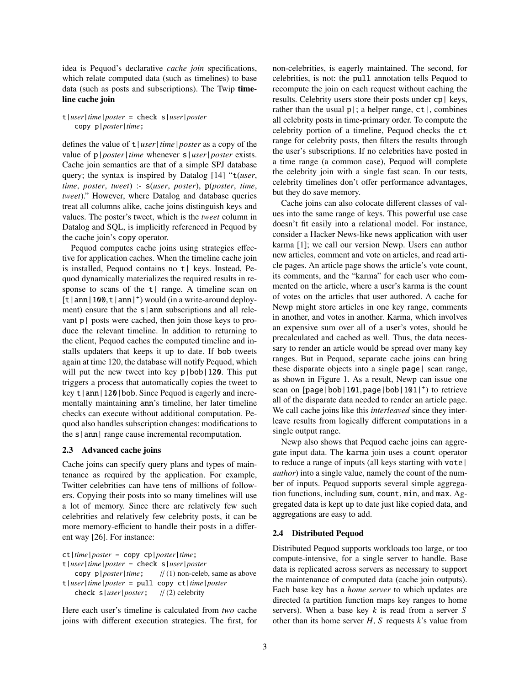idea is Pequod's declarative *cache join* specifications, which relate computed data (such as timelines) to base data (such as posts and subscriptions). The Twip timeline cache join

t|*user*|*time*|*poster* = check s|*user*|*poster* copy p|*poster*|*time*;

defines the value of t|*user*|*time*|*poster* as a copy of the value of p|*poster*|*time* whenever s|*user*|*poster* exists. Cache join semantics are that of a simple SPJ database query; the syntax is inspired by Datalog [14] "t(*user*, *time*, *poster*, *tweet*) :- s(*user*, *poster*), p(*poster*, *time*, *tweet*)." However, where Datalog and database queries treat all columns alike, cache joins distinguish keys and values. The poster's tweet, which is the *tweet* column in Datalog and SQL, is implicitly referenced in Pequod by the cache join's copy operator.

Pequod computes cache joins using strategies effective for application caches. When the timeline cache join is installed, Pequod contains no t| keys. Instead, Pequod dynamically materializes the required results in response to scans of the  $t$ | range. A timeline scan on  $[t | ann | 100, t | ann |<sup>+</sup>)$  would (in a write-around deploy-<br>ment) ensure that the slapp subscriptions and all relement) ensure that the  $s$ | ann subscriptions and all relevant p| posts were cached, then join those keys to produce the relevant timeline. In addition to returning to the client, Pequod caches the computed timeline and installs updaters that keeps it up to date. If bob tweets again at time 120, the database will notify Pequod, which will put the new tweet into key p|bob|120. This put triggers a process that automatically copies the tweet to key  $t |ann|120|$  bob. Since Pequod is eagerly and incrementally maintaining ann's timeline, her later timeline checks can execute without additional computation. Pequod also handles subscription changes: modifications to the s|ann| range cause incremental recomputation.

#### 2.3 Advanced cache joins

Cache joins can specify query plans and types of maintenance as required by the application. For example, Twitter celebrities can have tens of millions of followers. Copying their posts into so many timelines will use a lot of memory. Since there are relatively few such celebrities and relatively few celebrity posts, it can be more memory-efficient to handle their posts in a different way [26]. For instance:

ct|*time*|*poster* = copy cp|*poster*|*time*; t|*user*|*time*|*poster* = check s|*user*|*poster* copy p|*poster*|*time*; // (1) non-celeb, same as above t|*user*|*time*|*poster* = pull copy ct|*time*|*poster* check s|*user*|*poster*; // (2) celebrity

Here each user's timeline is calculated from *two* cache joins with different execution strategies. The first, for non-celebrities, is eagerly maintained. The second, for celebrities, is not: the pull annotation tells Pequod to recompute the join on each request without caching the results. Celebrity users store their posts under cp| keys, rather than the usual  $p$  |; a helper range,  $ct$  |, combines all celebrity posts in time-primary order. To compute the celebrity portion of a timeline, Pequod checks the ct range for celebrity posts, then filters the results through the user's subscriptions. If no celebrities have posted in a time range (a common case), Pequod will complete the celebrity join with a single fast scan. In our tests, celebrity timelines don't offer performance advantages, but they do save memory.

Cache joins can also colocate different classes of values into the same range of keys. This powerful use case doesn't fit easily into a relational model. For instance, consider a Hacker News-like news application with user karma [1]; we call our version Newp. Users can author new articles, comment and vote on articles, and read article pages. An article page shows the article's vote count, its comments, and the "karma" for each user who commented on the article, where a user's karma is the count of votes on the articles that user authored. A cache for Newp might store articles in one key range, comments in another, and votes in another. Karma, which involves an expensive sum over all of a user's votes, should be precalculated and cached as well. Thus, the data necessary to render an article would be spread over many key ranges. But in Pequod, separate cache joins can bring these disparate objects into a single page| scan range, as shown in Figure 1. As a result, Newp can issue one scan on [page|bob|101, page|bob|101|<sup>+</sup>) to retrieve<br>all of the disparate data needed to render an article page all of the disparate data needed to render an article page. We call cache joins like this *interleaved* since they interleave results from logically different computations in a single output range.

Newp also shows that Pequod cache joins can aggregate input data. The karma join uses a count operator to reduce a range of inputs (all keys starting with vote| *author*) into a single value, namely the count of the number of inputs. Pequod supports several simple aggregation functions, including sum, count, min, and max. Aggregated data is kept up to date just like copied data, and aggregations are easy to add.

#### 2.4 Distributed Pequod

Distributed Pequod supports workloads too large, or too compute-intensive, for a single server to handle. Base data is replicated across servers as necessary to support the maintenance of computed data (cache join outputs). Each base key has a *home server* to which updates are directed (a partition function maps key ranges to home servers). When a base key *k* is read from a server *S* other than its home server *H*, *S* requests *k*'s value from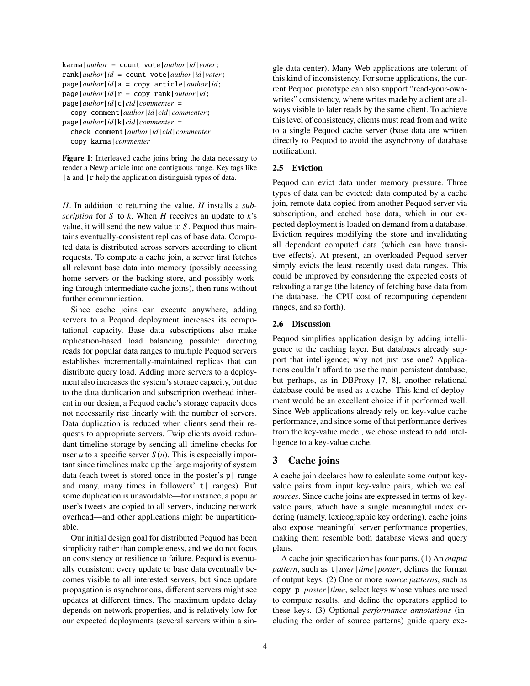```
karma|author = count vote|author|id|voter;
rank|author|id = count vote|author|id|voter;
page|author|id|a = copy article|author|id;
page|author|id|r = copy rank|author|id;page|author|id|c|cid|commenter =
  copy comment|author|id|cid|commenter;
```
page|*author*|*id*|k|*cid*|*commenter* = check comment|*author*|*id*|*cid*|*commenter* copy karma|*commenter*

Figure 1: Interleaved cache joins bring the data necessary to render a Newp article into one contiguous range. Key tags like | a and | r help the application distinguish types of data.

*H*. In addition to returning the value, *H* installs a *subscription* for *S* to *k*. When *H* receives an update to *k*'s value, it will send the new value to *S* . Pequod thus maintains eventually-consistent replicas of base data. Computed data is distributed across servers according to client requests. To compute a cache join, a server first fetches all relevant base data into memory (possibly accessing home servers or the backing store, and possibly working through intermediate cache joins), then runs without further communication.

Since cache joins can execute anywhere, adding servers to a Pequod deployment increases its computational capacity. Base data subscriptions also make replication-based load balancing possible: directing reads for popular data ranges to multiple Pequod servers establishes incrementally-maintained replicas that can distribute query load. Adding more servers to a deployment also increases the system's storage capacity, but due to the data duplication and subscription overhead inherent in our design, a Pequod cache's storage capacity does not necessarily rise linearly with the number of servers. Data duplication is reduced when clients send their requests to appropriate servers. Twip clients avoid redundant timeline storage by sending all timeline checks for user *u* to a specific server  $S(u)$ . This is especially important since timelines make up the large majority of system data (each tweet is stored once in the poster's  $p \mid$  range and many, many times in followers' t | ranges). But some duplication is unavoidable—for instance, a popular user's tweets are copied to all servers, inducing network overhead—and other applications might be unpartitionable.

Our initial design goal for distributed Pequod has been simplicity rather than completeness, and we do not focus on consistency or resilience to failure. Pequod is eventually consistent: every update to base data eventually becomes visible to all interested servers, but since update propagation is asynchronous, different servers might see updates at different times. The maximum update delay depends on network properties, and is relatively low for our expected deployments (several servers within a single data center). Many Web applications are tolerant of this kind of inconsistency. For some applications, the current Pequod prototype can also support "read-your-ownwrites" consistency, where writes made by a client are always visible to later reads by the same client. To achieve this level of consistency, clients must read from and write to a single Pequod cache server (base data are written directly to Pequod to avoid the asynchrony of database notification).

## 2.5 Eviction

Pequod can evict data under memory pressure. Three types of data can be evicted: data computed by a cache join, remote data copied from another Pequod server via subscription, and cached base data, which in our expected deployment is loaded on demand from a database. Eviction requires modifying the store and invalidating all dependent computed data (which can have transitive effects). At present, an overloaded Pequod server simply evicts the least recently used data ranges. This could be improved by considering the expected costs of reloading a range (the latency of fetching base data from the database, the CPU cost of recomputing dependent ranges, and so forth).

#### 2.6 Discussion

Pequod simplifies application design by adding intelligence to the caching layer. But databases already support that intelligence; why not just use one? Applications couldn't afford to use the main persistent database, but perhaps, as in DBProxy [7, 8], another relational database could be used as a cache. This kind of deployment would be an excellent choice if it performed well. Since Web applications already rely on key-value cache performance, and since some of that performance derives from the key-value model, we chose instead to add intelligence to a key-value cache.

## 3 Cache joins

A cache join declares how to calculate some output keyvalue pairs from input key-value pairs, which we call *sources*. Since cache joins are expressed in terms of keyvalue pairs, which have a single meaningful index ordering (namely, lexicographic key ordering), cache joins also expose meaningful server performance properties, making them resemble both database views and query plans.

A cache join specification has four parts. (1) An *output pattern*, such as t|*user*|*time*|*poster*, defines the format of output keys. (2) One or more *source patterns*, such as copy p|*poster*|*time*, select keys whose values are used to compute results, and define the operators applied to these keys. (3) Optional *performance annotations* (including the order of source patterns) guide query exe-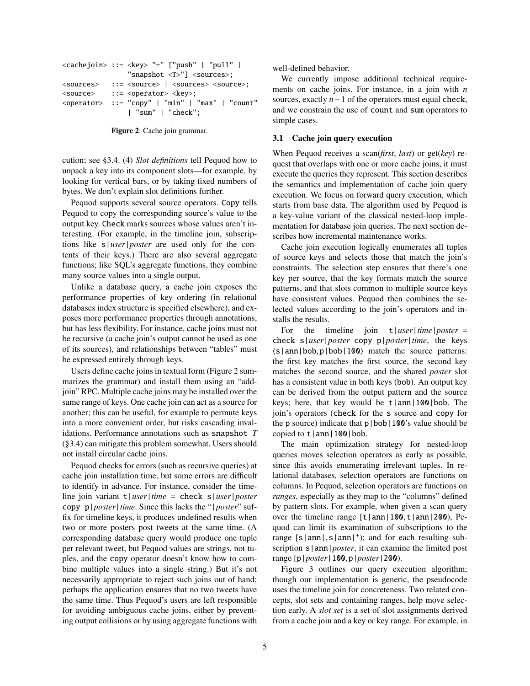```
<cachejoin> ::= <key> "=" ["push" | "pull" |
               "snapshot <T>"] <sources>;
<sources> ::= <source> | <sources> <source>;
<source> ::= <operator> <key>;
<operator> ::= "copy" | "min" | "max" | "count"
               | "sum" | "check";
```
Figure 2: Cache join grammar.

cution; see §3.4. (4) *Slot definitions* tell Pequod how to unpack a key into its component slots—for example, by looking for vertical bars, or by taking fixed numbers of bytes. We don't explain slot definitions further.

Pequod supports several source operators. Copy tells Pequod to copy the corresponding source's value to the output key. Check marks sources whose values aren't interesting. (For example, in the timeline join, subscriptions like s|*user*|*poster* are used only for the contents of their keys.) There are also several aggregate functions; like SQL's aggregate functions, they combine many source values into a single output.

Unlike a database query, a cache join exposes the performance properties of key ordering (in relational databases index structure is specified elsewhere), and exposes more performance properties through annotations, but has less flexibility. For instance, cache joins must not be recursive (a cache join's output cannot be used as one of its sources), and relationships between "tables" must be expressed entirely through keys.

Users define cache joins in textual form (Figure 2 summarizes the grammar) and install them using an "addjoin" RPC. Multiple cache joins may be installed over the same range of keys. One cache join can act as a source for another; this can be useful, for example to permute keys into a more convenient order, but risks cascading invalidations. Performance annotations such as snapshot *T* (§3.4) can mitigate this problem somewhat. Users should not install circular cache joins.

Pequod checks for errors (such as recursive queries) at cache join installation time, but some errors are difficult to identify in advance. For instance, consider the timeline join variant t|*user*|*time* = check s|*user*|*poster* copy p|*poster*|*time*. Since this lacks the "|*poster*" suffix for timeline keys, it produces undefined results when two or more posters post tweets at the same time. (A corresponding database query would produce one tuple per relevant tweet, but Pequod values are strings, not tuples, and the copy operator doesn't know how to combine multiple values into a single string.) But it's not necessarily appropriate to reject such joins out of hand; perhaps the application ensures that no two tweets have the same time. Thus Pequod's users are left responsible for avoiding ambiguous cache joins, either by preventing output collisions or by using aggregate functions with well-defined behavior.

We currently impose additional technical requirements on cache joins. For instance, in a join with *n* sources, exactly *n*−1 of the operators must equal check, and we constrain the use of count and sum operators to simple cases.

### 3.1 Cache join query execution

When Pequod receives a scan(*first*, *last*) or get(*key*) request that overlaps with one or more cache joins, it must execute the queries they represent. This section describes the semantics and implementation of cache join query execution. We focus on forward query execution, which starts from base data. The algorithm used by Pequod is a key-value variant of the classical nested-loop implementation for database join queries. The next section describes how incremental maintenance works.

Cache join execution logically enumerates all tuples of source keys and selects those that match the join's constraints. The selection step ensures that there's one key per source, that the key formats match the source patterns, and that slots common to multiple source keys have consistent values. Pequod then combines the selected values according to the join's operators and installs the results.

For the timeline join t|*user*|*time*|*poster* = check s|*user*|*poster* copy p|*poster*|*time*, the keys  $\langle s | \text{ann} | \text{bob}, p | \text{bob} | 100 \rangle$  match the source patterns: the first key matches the first source, the second key matches the second source, and the shared *poster* slot has a consistent value in both keys (bob). An output key can be derived from the output pattern and the source keys; here, that key would be t|ann|100|bob. The join's operators (check for the s source and copy for the p source) indicate that  $p | bob | 100$ 's value should be copied to  $t |ann|100|bob$ .

The main optimization strategy for nested-loop queries moves selection operators as early as possible, since this avoids enumerating irrelevant tuples. In relational databases, selection operators are functions on columns. In Pequod, selection operators are functions on *ranges*, especially as they map to the "columns" defined by pattern slots. For example, when given a scan query over the timeline range  $\lceil t | \text{ann} | 100, t | \text{ann} | 200$ , Pequod can limit its examination of subscriptions to the range  $[s | ann |, s | ann |<sup>+</sup>)$ ; and for each resulting sub-<br>scription  $s | ann | matter$  it can examine the limited post scription s | ann | *poster*, it can examine the limited post range [p|*poster*|100,p|*poster*|200).

Figure 3 outlines our query execution algorithm; though our implementation is generic, the pseudocode uses the timeline join for concreteness. Two related concepts, slot sets and containing ranges, help move selection early. A *slot set* is a set of slot assignments derived from a cache join and a key or key range. For example, in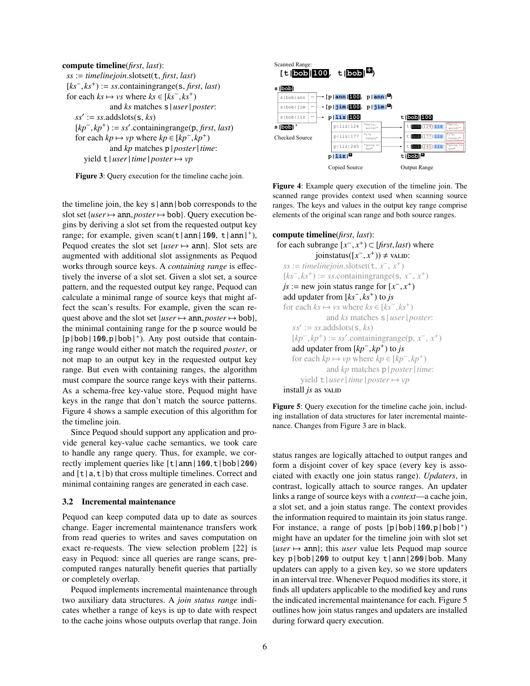



the timeline join, the key s|ann|bob corresponds to the slot set { $user \mapsto ann, posterior \mapsto bob$ }. Query execution begins by deriving a slot set from the requested output key range; for example, given  $scan(t | ann | 100, t | ann |<sup>+</sup>)$ , Pequod creates the slot set  $\{user \mapsto ann\}$ . Slot sets are augmented with additional slot assignments as Pequod works through source keys. A *containing range* is effectively the inverse of a slot set. Given a slot set, a source pattern, and the requested output key range, Pequod can calculate a minimal range of source keys that might affect the scan's results. For example, given the scan request above and the slot set  ${user \mapsto ann, poster \mapsto bob}$ , the minimal containing range for the p source would be  $[p | bob | 100, p | bob |<sup>+</sup>)$ . Any post outside that contain-<br>ing range would either not match the required noster, or ing range would either not match the required *poster*, or not map to an output key in the requested output key range. But even with containing ranges, the algorithm must compare the source range keys with their patterns. As a schema-free key-value store, Pequod might have keys in the range that don't match the source patterns. Figure 4 shows a sample execution of this algorithm for the timeline join.

Since Pequod should support any application and provide general key-value cache semantics, we took care to handle any range query. Thus, for example, we correctly implement queries like  $\lceil t \rceil$  ann $\lceil 100, t \rceil$ bob $\lceil 200 \rceil$ and  $[t|a,t|b)$  that cross multiple timelines. Correct and minimal containing ranges are generated in each case.

#### 3.2 Incremental maintenance

Pequod can keep computed data up to date as sources change. Eager incremental maintenance transfers work from read queries to writes and saves computation on exact re-requests. The view selection problem [22] is easy in Pequod: since all queries are range scans, precomputed ranges naturally benefit queries that partially or completely overlap.

Pequod implements incremental maintenance through two auxiliary data structures. A *join status range* indicates whether a range of keys is up to date with respect to the cache joins whose outputs overlap that range. Join



Figure 4: Example query execution of the timeline join. The scanned range provides context used when scanning source ranges. The keys and values in the output key range comprise elements of the original scan range and both source ranges.

```
compute timeline(first, last):
   for each subrange [x^-, x^+) \subset [first, last) where<br>ioinstatus([x^-, x^+) \neq w.u.p.
                        joinstatus([x^-,x^+)) ≠ valid:<br>validation slotset(+ x^- x^+)
      ss := timelinejoin.\text{slotset}(\texttt{t}, x^-, x^+)[ks^-, ks^+] := ss.containingrange(s, x<sup>-</sup>, x<sup>+</sup>)<br>
j\mathbf{s} := \text{new join status range for [r^-, r^+)}js := new join status range for [x^-, x^+]<br>add undater from [ks^- \ ks^+] to is
      add updater from [ks^-, ks^+] to js<br>for each ks → vs where ks \in [ks^+]for each ks \mapsto vs where ks \in [ks^-, ks^+]<br>and ks matches s \mid user \midand ks matches s|user|poster:
           ss' := ss.addslots(s, ks)
           [kp^-, kp^+) := ss'.\text{containingrange}(p, x^-, x^+)<br>add undater from [kp^-, kn^+) to is
           add updater from [kp^-, kp^+) to js<br>for each kn \mapsto yn where kn \in [kn]for each kp \mapsto vp where kp \in [kp^-, kp^+]<br>and kn matches n | noster | time
                             and kp matches p|poster|time:
               yield t|user|time|poster \rightarrow vpinstall js as value
```
Figure 5: Query execution for the timeline cache join, including installation of data structures for later incremental maintenance. Changes from Figure 3 are in black.

status ranges are logically attached to output ranges and form a disjoint cover of key space (every key is associated with exactly one join status range). *Updaters*, in contrast, logically attach to source ranges. An updater links a range of source keys with a *context*—a cache join, a slot set, and a join status range. The context provides the information required to maintain its join status range. For instance, a range of posts  $[p | bob | 100, p | bob |<sup>+</sup>)$ <br>might have an undater for the timeline join with slot set might have an updater for the timeline join with slot set  ${user \mapsto ann}$ ; this *user* value lets Pequod map source key p|bob|200 to output key t|ann|200|bob. Many updaters can apply to a given key, so we store updaters in an interval tree. Whenever Pequod modifies its store, it finds all updaters applicable to the modified key and runs the indicated incremental maintenance for each. Figure 5 outlines how join status ranges and updaters are installed during forward query execution.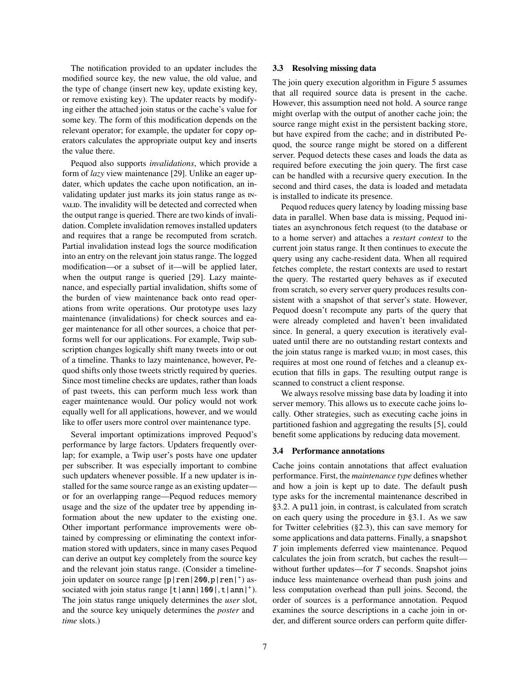The notification provided to an updater includes the modified source key, the new value, the old value, and the type of change (insert new key, update existing key, or remove existing key). The updater reacts by modifying either the attached join status or the cache's value for some key. The form of this modification depends on the relevant operator; for example, the updater for copy operators calculates the appropriate output key and inserts the value there.

Pequod also supports *invalidations*, which provide a form of *lazy* view maintenance [29]. Unlike an eager updater, which updates the cache upon notification, an invalidating updater just marks its join status range as invall. The invalidity will be detected and corrected when the output range is queried. There are two kinds of invalidation. Complete invalidation removes installed updaters and requires that a range be recomputed from scratch. Partial invalidation instead logs the source modification into an entry on the relevant join status range. The logged modification—or a subset of it—will be applied later, when the output range is queried [29]. Lazy maintenance, and especially partial invalidation, shifts some of the burden of view maintenance back onto read operations from write operations. Our prototype uses lazy maintenance (invalidations) for check sources and eager maintenance for all other sources, a choice that performs well for our applications. For example, Twip subscription changes logically shift many tweets into or out of a timeline. Thanks to lazy maintenance, however, Pequod shifts only those tweets strictly required by queries. Since most timeline checks are updates, rather than loads of past tweets, this can perform much less work than eager maintenance would. Our policy would not work equally well for all applications, however, and we would like to offer users more control over maintenance type.

Several important optimizations improved Pequod's performance by large factors. Updaters frequently overlap; for example, a Twip user's posts have one updater per subscriber. It was especially important to combine such updaters whenever possible. If a new updater is installed for the same source range as an existing updater or for an overlapping range—Pequod reduces memory usage and the size of the updater tree by appending information about the new updater to the existing one. Other important performance improvements were obtained by compressing or eliminating the context information stored with updaters, since in many cases Pequod can derive an output key completely from the source key and the relevant join status range. (Consider a timelinejoin updater on source range [p|ren|200,p|ren|<sup>+</sup>) as-<br>sociated with join status range [t | ann|100| t | ann|<sup>+</sup>) sociated with join status range  $\left[\frac{t}{\text{ann}}\right]$  ann $\left|\frac{100}{t}\right|$  ann $\left|^+\right)$ .<br>The join status range uniquely determines the *user* slot. The join status range uniquely determines the *user* slot, and the source key uniquely determines the *poster* and *time* slots.)

#### 3.3 Resolving missing data

The join query execution algorithm in Figure 5 assumes that all required source data is present in the cache. However, this assumption need not hold. A source range might overlap with the output of another cache join; the source range might exist in the persistent backing store, but have expired from the cache; and in distributed Pequod, the source range might be stored on a different server. Pequod detects these cases and loads the data as required before executing the join query. The first case can be handled with a recursive query execution. In the second and third cases, the data is loaded and metadata is installed to indicate its presence.

Pequod reduces query latency by loading missing base data in parallel. When base data is missing, Pequod initiates an asynchronous fetch request (to the database or to a home server) and attaches a *restart context* to the current join status range. It then continues to execute the query using any cache-resident data. When all required fetches complete, the restart contexts are used to restart the query. The restarted query behaves as if executed from scratch, so every server query produces results consistent with a snapshot of that server's state. However, Pequod doesn't recompute any parts of the query that were already completed and haven't been invalidated since. In general, a query execution is iteratively evaluated until there are no outstanding restart contexts and the join status range is marked value; in most cases, this requires at most one round of fetches and a cleanup execution that fills in gaps. The resulting output range is scanned to construct a client response.

We always resolve missing base data by loading it into server memory. This allows us to execute cache joins locally. Other strategies, such as executing cache joins in partitioned fashion and aggregating the results [5], could benefit some applications by reducing data movement.

#### 3.4 Performance annotations

Cache joins contain annotations that affect evaluation performance. First, the *maintenance type* defines whether and how a join is kept up to date. The default push type asks for the incremental maintenance described in §3.2. A pull join, in contrast, is calculated from scratch on each query using the procedure in §3.1. As we saw for Twitter celebrities (§2.3), this can save memory for some applications and data patterns. Finally, a snapshot *T* join implements deferred view maintenance. Pequod calculates the join from scratch, but caches the result without further updates—for *T* seconds. Snapshot joins induce less maintenance overhead than push joins and less computation overhead than pull joins. Second, the order of sources is a performance annotation. Pequod examines the source descriptions in a cache join in order, and different source orders can perform quite differ-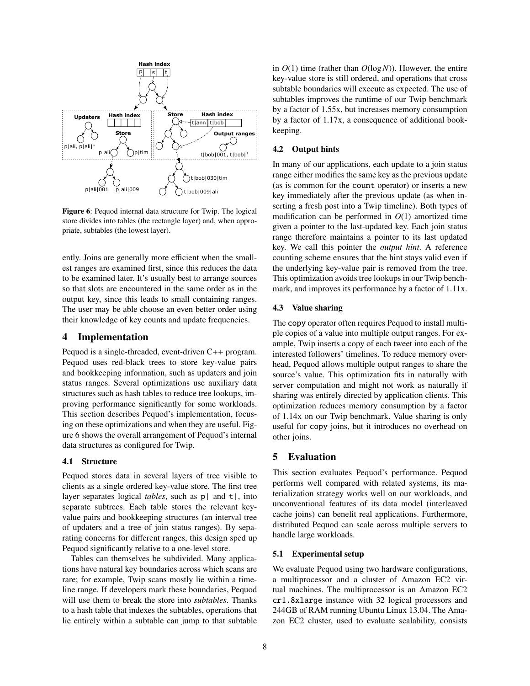

Figure 6: Pequod internal data structure for Twip. The logical store divides into tables (the rectangle layer) and, when appropriate, subtables (the lowest layer).

ently. Joins are generally more efficient when the smallest ranges are examined first, since this reduces the data to be examined later. It's usually best to arrange sources so that slots are encountered in the same order as in the output key, since this leads to small containing ranges. The user may be able choose an even better order using their knowledge of key counts and update frequencies.

## 4 Implementation

Pequod is a single-threaded, event-driven C++ program. Pequod uses red-black trees to store key-value pairs and bookkeeping information, such as updaters and join status ranges. Several optimizations use auxiliary data structures such as hash tables to reduce tree lookups, improving performance significantly for some workloads. This section describes Pequod's implementation, focusing on these optimizations and when they are useful. Figure 6 shows the overall arrangement of Pequod's internal data structures as configured for Twip.

### 4.1 Structure

Pequod stores data in several layers of tree visible to clients as a single ordered key-value store. The first tree layer separates logical *tables*, such as p| and t|, into separate subtrees. Each table stores the relevant keyvalue pairs and bookkeeping structures (an interval tree of updaters and a tree of join status ranges). By separating concerns for different ranges, this design sped up Pequod significantly relative to a one-level store.

Tables can themselves be subdivided. Many applications have natural key boundaries across which scans are rare; for example, Twip scans mostly lie within a timeline range. If developers mark these boundaries, Pequod will use them to break the store into *subtables*. Thanks to a hash table that indexes the subtables, operations that lie entirely within a subtable can jump to that subtable in *O*(1) time (rather than *O*(log*N*)). However, the entire key-value store is still ordered, and operations that cross subtable boundaries will execute as expected. The use of subtables improves the runtime of our Twip benchmark by a factor of 1.55x, but increases memory consumption by a factor of 1.17x, a consequence of additional bookkeeping.

### 4.2 Output hints

In many of our applications, each update to a join status range either modifies the same key as the previous update (as is common for the count operator) or inserts a new key immediately after the previous update (as when inserting a fresh post into a Twip timeline). Both types of modification can be performed in  $O(1)$  amortized time given a pointer to the last-updated key. Each join status range therefore maintains a pointer to its last updated key. We call this pointer the *output hint*. A reference counting scheme ensures that the hint stays valid even if the underlying key-value pair is removed from the tree. This optimization avoids tree lookups in our Twip benchmark, and improves its performance by a factor of 1.11x.

#### 4.3 Value sharing

The copy operator often requires Pequod to install multiple copies of a value into multiple output ranges. For example, Twip inserts a copy of each tweet into each of the interested followers' timelines. To reduce memory overhead, Pequod allows multiple output ranges to share the source's value. This optimization fits in naturally with server computation and might not work as naturally if sharing was entirely directed by application clients. This optimization reduces memory consumption by a factor of 1.14x on our Twip benchmark. Value sharing is only useful for copy joins, but it introduces no overhead on other joins.

## 5 Evaluation

This section evaluates Pequod's performance. Pequod performs well compared with related systems, its materialization strategy works well on our workloads, and unconventional features of its data model (interleaved cache joins) can benefit real applications. Furthermore, distributed Pequod can scale across multiple servers to handle large workloads.

### 5.1 Experimental setup

We evaluate Pequod using two hardware configurations, a multiprocessor and a cluster of Amazon EC2 virtual machines. The multiprocessor is an Amazon EC2 cr1.8xlarge instance with 32 logical processors and 244GB of RAM running Ubuntu Linux 13.04. The Amazon EC2 cluster, used to evaluate scalability, consists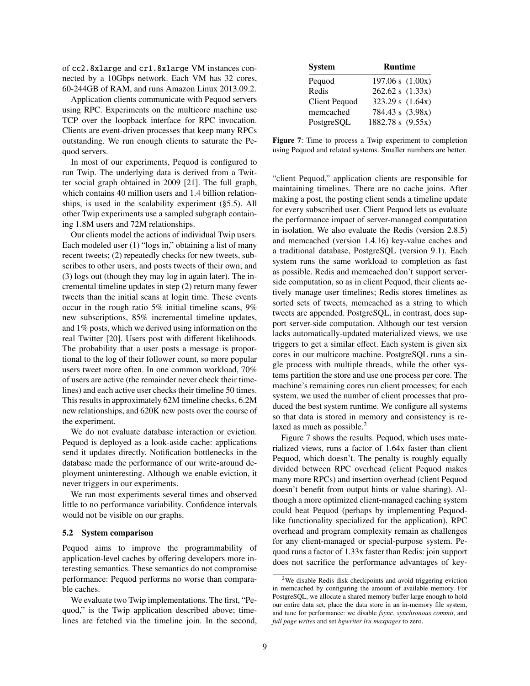of cc2.8xlarge and cr1.8xlarge VM instances connected by a 10Gbps network. Each VM has 32 cores, 60-244GB of RAM, and runs Amazon Linux 2013.09.2.

Application clients communicate with Pequod servers using RPC. Experiments on the multicore machine use TCP over the loopback interface for RPC invocation. Clients are event-driven processes that keep many RPCs outstanding. We run enough clients to saturate the Pequod servers.

In most of our experiments, Pequod is configured to run Twip. The underlying data is derived from a Twitter social graph obtained in 2009 [21]. The full graph, which contains 40 million users and 1.4 billion relationships, is used in the scalability experiment (§5.5). All other Twip experiments use a sampled subgraph containing 1.8M users and 72M relationships.

Our clients model the actions of individual Twip users. Each modeled user (1) "logs in," obtaining a list of many recent tweets; (2) repeatedly checks for new tweets, subscribes to other users, and posts tweets of their own; and (3) logs out (though they may log in again later). The incremental timeline updates in step (2) return many fewer tweets than the initial scans at login time. These events occur in the rough ratio 5% initial timeline scans, 9% new subscriptions, 85% incremental timeline updates, and 1% posts, which we derived using information on the real Twitter [20]. Users post with different likelihoods. The probability that a user posts a message is proportional to the log of their follower count, so more popular users tweet more often. In one common workload, 70% of users are active (the remainder never check their timelines) and each active user checks their timeline 50 times. This results in approximately 62M timeline checks, 6.2M new relationships, and 620K new posts over the course of the experiment.

We do not evaluate database interaction or eviction. Pequod is deployed as a look-aside cache: applications send it updates directly. Notification bottlenecks in the database made the performance of our write-around deployment uninteresting. Although we enable eviction, it never triggers in our experiments.

We ran most experiments several times and observed little to no performance variability. Confidence intervals would not be visible on our graphs.

### 5.2 System comparison

Pequod aims to improve the programmability of application-level caches by offering developers more interesting semantics. These semantics do not compromise performance: Pequod performs no worse than comparable caches.

We evaluate two Twip implementations. The first, "Pequod," is the Twip application described above; timelines are fetched via the timeline join. In the second,

| <b>System</b>        | <b>Runtime</b>       |
|----------------------|----------------------|
| Pequod               | $197.06 s$ $(1.00x)$ |
| Redis                | 262.62 s (1.33x)     |
| <b>Client Pequod</b> | 323.29 s (1.64x)     |
| memcached            | 784.43 s (3.98x)     |
| PostgreSQL           | 1882.78 s (9.55x)    |

Figure 7: Time to process a Twip experiment to completion using Pequod and related systems. Smaller numbers are better.

"client Pequod," application clients are responsible for maintaining timelines. There are no cache joins. After making a post, the posting client sends a timeline update for every subscribed user. Client Pequod lets us evaluate the performance impact of server-managed computation in isolation. We also evaluate the Redis (version 2.8.5) and memcached (version 1.4.16) key-value caches and a traditional database, PostgreSQL (version 9.1). Each system runs the same workload to completion as fast as possible. Redis and memcached don't support serverside computation, so as in client Pequod, their clients actively manage user timelines; Redis stores timelines as sorted sets of tweets, memcached as a string to which tweets are appended. PostgreSQL, in contrast, does support server-side computation. Although our test version lacks automatically-updated materialized views, we use triggers to get a similar effect. Each system is given six cores in our multicore machine. PostgreSQL runs a single process with multiple threads, while the other systems partition the store and use one process per core. The machine's remaining cores run client processes; for each system, we used the number of client processes that produced the best system runtime. We configure all systems so that data is stored in memory and consistency is relaxed as much as possible. $<sup>2</sup>$ </sup>

Figure 7 shows the results. Pequod, which uses materialized views, runs a factor of 1.64x faster than client Pequod, which doesn't. The penalty is roughly equally divided between RPC overhead (client Pequod makes many more RPCs) and insertion overhead (client Pequod doesn't benefit from output hints or value sharing). Although a more optimized client-managed caching system could beat Pequod (perhaps by implementing Pequodlike functionality specialized for the application), RPC overhead and program complexity remain as challenges for any client-managed or special-purpose system. Pequod runs a factor of 1.33x faster than Redis: join support does not sacrifice the performance advantages of key-

<sup>2</sup>We disable Redis disk checkpoints and avoid triggering eviction in memcached by configuring the amount of available memory. For PostgreSQL, we allocate a shared memory buffer large enough to hold our entire data set, place the data store in an in-memory file system, and tune for performance: we disable *fsync*, *synchronous commit*, and *full page writes* and set *bgwriter lru maxpages* to zero.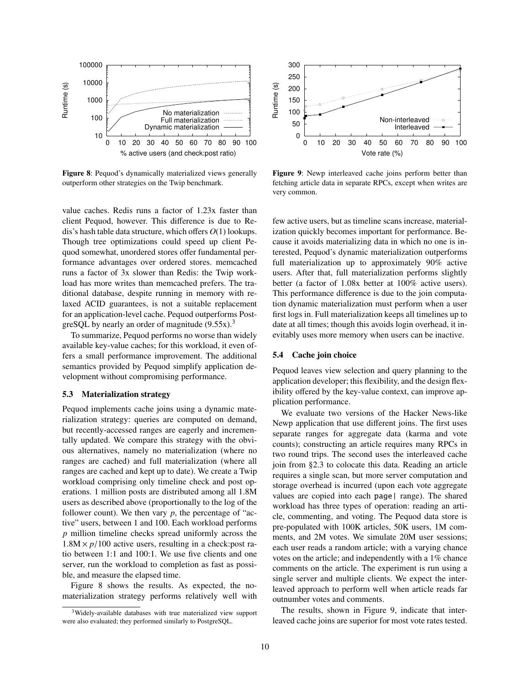

Figure 8: Pequod's dynamically materialized views generally outperform other strategies on the Twip benchmark.

value caches. Redis runs a factor of 1.23x faster than client Pequod, however. This difference is due to Redis's hash table data structure, which offers *O*(1) lookups. Though tree optimizations could speed up client Pequod somewhat, unordered stores offer fundamental performance advantages over ordered stores. memcached runs a factor of 3x slower than Redis: the Twip workload has more writes than memcached prefers. The traditional database, despite running in memory with relaxed ACID guarantees, is not a suitable replacement for an application-level cache. Pequod outperforms PostgreSQL by nearly an order of magnitude  $(9.55x)^3$ 

To summarize, Pequod performs no worse than widely available key-value caches; for this workload, it even offers a small performance improvement. The additional semantics provided by Pequod simplify application development without compromising performance.

### 5.3 Materialization strategy

Pequod implements cache joins using a dynamic materialization strategy: queries are computed on demand, but recently-accessed ranges are eagerly and incrementally updated. We compare this strategy with the obvious alternatives, namely no materialization (where no ranges are cached) and full materialization (where all ranges are cached and kept up to date). We create a Twip workload comprising only timeline check and post operations. 1 million posts are distributed among all 1.8M users as described above (proportionally to the log of the follower count). We then vary  $p$ , the percentage of "active" users, between 1 and 100. Each workload performs *p* million timeline checks spread uniformly across the  $1.8M \times p/100$  active users, resulting in a check:post ratio between 1:1 and 100:1. We use five clients and one server, run the workload to completion as fast as possible, and measure the elapsed time.

Figure 8 shows the results. As expected, the nomaterialization strategy performs relatively well with



Figure 9: Newp interleaved cache joins perform better than fetching article data in separate RPCs, except when writes are very common.

few active users, but as timeline scans increase, materialization quickly becomes important for performance. Because it avoids materializing data in which no one is interested, Pequod's dynamic materialization outperforms full materialization up to approximately 90% active users. After that, full materialization performs slightly better (a factor of 1.08x better at 100% active users). This performance difference is due to the join computation dynamic materialization must perform when a user first logs in. Full materialization keeps all timelines up to date at all times; though this avoids login overhead, it inevitably uses more memory when users can be inactive.

#### 5.4 Cache join choice

Pequod leaves view selection and query planning to the application developer; this flexibility, and the design flexibility offered by the key-value context, can improve application performance.

We evaluate two versions of the Hacker News-like Newp application that use different joins. The first uses separate ranges for aggregate data (karma and vote counts); constructing an article requires many RPCs in two round trips. The second uses the interleaved cache join from §2.3 to colocate this data. Reading an article requires a single scan, but more server computation and storage overhead is incurred (upon each vote aggregate values are copied into each page| range). The shared workload has three types of operation: reading an article, commenting, and voting. The Pequod data store is pre-populated with 100K articles, 50K users, 1M comments, and 2M votes. We simulate 20M user sessions; each user reads a random article; with a varying chance votes on the article; and independently with a 1% chance comments on the article. The experiment is run using a single server and multiple clients. We expect the interleaved approach to perform well when article reads far outnumber votes and comments.

The results, shown in Figure 9, indicate that interleaved cache joins are superior for most vote rates tested.

<sup>3</sup>Widely-available databases with true materialized view support were also evaluated; they performed similarly to PostgreSQL.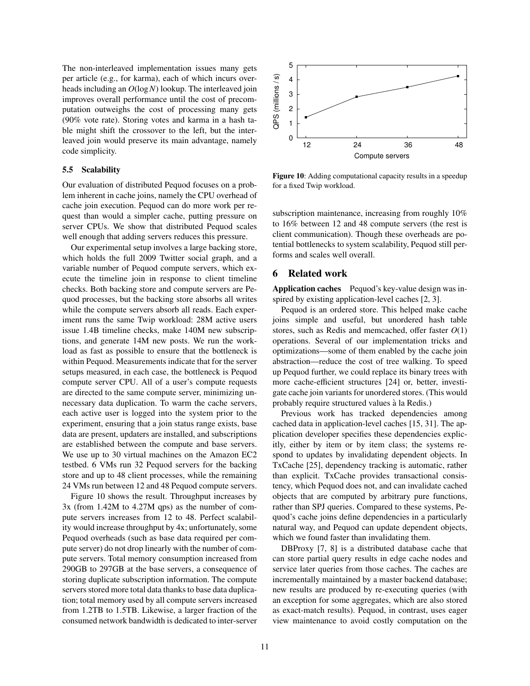The non-interleaved implementation issues many gets per article (e.g., for karma), each of which incurs overheads including an *O*(log*N*) lookup. The interleaved join improves overall performance until the cost of precomputation outweighs the cost of processing many gets (90% vote rate). Storing votes and karma in a hash table might shift the crossover to the left, but the interleaved join would preserve its main advantage, namely code simplicity.

#### 5.5 Scalability

Our evaluation of distributed Pequod focuses on a problem inherent in cache joins, namely the CPU overhead of cache join execution. Pequod can do more work per request than would a simpler cache, putting pressure on server CPUs. We show that distributed Pequod scales well enough that adding servers reduces this pressure.

Our experimental setup involves a large backing store, which holds the full 2009 Twitter social graph, and a variable number of Pequod compute servers, which execute the timeline join in response to client timeline checks. Both backing store and compute servers are Pequod processes, but the backing store absorbs all writes while the compute servers absorb all reads. Each experiment runs the same Twip workload: 28M active users issue 1.4B timeline checks, make 140M new subscriptions, and generate 14M new posts. We run the workload as fast as possible to ensure that the bottleneck is within Pequod. Measurements indicate that for the server setups measured, in each case, the bottleneck is Pequod compute server CPU. All of a user's compute requests are directed to the same compute server, minimizing unnecessary data duplication. To warm the cache servers, each active user is logged into the system prior to the experiment, ensuring that a join status range exists, base data are present, updaters are installed, and subscriptions are established between the compute and base servers. We use up to 30 virtual machines on the Amazon EC2 testbed. 6 VMs run 32 Pequod servers for the backing store and up to 48 client processes, while the remaining 24 VMs run between 12 and 48 Pequod compute servers.

Figure 10 shows the result. Throughput increases by 3x (from 1.42M to 4.27M qps) as the number of compute servers increases from 12 to 48. Perfect scalability would increase throughput by 4x; unfortunately, some Pequod overheads (such as base data required per compute server) do not drop linearly with the number of compute servers. Total memory consumption increased from 290GB to 297GB at the base servers, a consequence of storing duplicate subscription information. The compute servers stored more total data thanks to base data duplication; total memory used by all compute servers increased from 1.2TB to 1.5TB. Likewise, a larger fraction of the consumed network bandwidth is dedicated to inter-server



Figure 10: Adding computational capacity results in a speedup for a fixed Twip workload.

subscription maintenance, increasing from roughly 10% to 16% between 12 and 48 compute servers (the rest is client communication). Though these overheads are potential bottlenecks to system scalability, Pequod still performs and scales well overall.

## 6 Related work

Application caches Pequod's key-value design was inspired by existing application-level caches [2, 3].

Pequod is an ordered store. This helped make cache joins simple and useful, but unordered hash table stores, such as Redis and memcached, offer faster *O*(1) operations. Several of our implementation tricks and optimizations—some of them enabled by the cache join abstraction—reduce the cost of tree walking. To speed up Pequod further, we could replace its binary trees with more cache-efficient structures [24] or, better, investigate cache join variants for unordered stores. (This would probably require structured values a la Redis.) `

Previous work has tracked dependencies among cached data in application-level caches [15, 31]. The application developer specifies these dependencies explicitly, either by item or by item class; the systems respond to updates by invalidating dependent objects. In TxCache [25], dependency tracking is automatic, rather than explicit. TxCache provides transactional consistency, which Pequod does not, and can invalidate cached objects that are computed by arbitrary pure functions, rather than SPJ queries. Compared to these systems, Pequod's cache joins define dependencies in a particularly natural way, and Pequod can update dependent objects, which we found faster than invalidating them.

DBProxy [7, 8] is a distributed database cache that can store partial query results in edge cache nodes and service later queries from those caches. The caches are incrementally maintained by a master backend database; new results are produced by re-executing queries (with an exception for some aggregates, which are also stored as exact-match results). Pequod, in contrast, uses eager view maintenance to avoid costly computation on the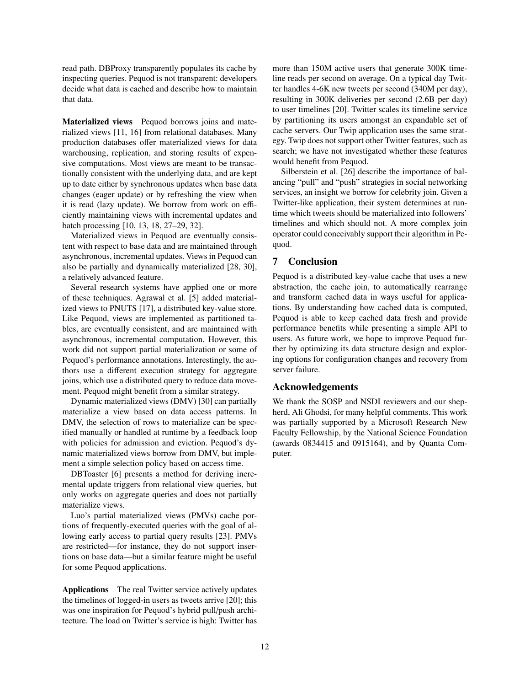read path. DBProxy transparently populates its cache by inspecting queries. Pequod is not transparent: developers decide what data is cached and describe how to maintain that data.

Materialized views Pequod borrows joins and materialized views [11, 16] from relational databases. Many production databases offer materialized views for data warehousing, replication, and storing results of expensive computations. Most views are meant to be transactionally consistent with the underlying data, and are kept up to date either by synchronous updates when base data changes (eager update) or by refreshing the view when it is read (lazy update). We borrow from work on efficiently maintaining views with incremental updates and batch processing [10, 13, 18, 27–29, 32].

Materialized views in Pequod are eventually consistent with respect to base data and are maintained through asynchronous, incremental updates. Views in Pequod can also be partially and dynamically materialized [28, 30], a relatively advanced feature.

Several research systems have applied one or more of these techniques. Agrawal et al. [5] added materialized views to PNUTS [17], a distributed key-value store. Like Pequod, views are implemented as partitioned tables, are eventually consistent, and are maintained with asynchronous, incremental computation. However, this work did not support partial materialization or some of Pequod's performance annotations. Interestingly, the authors use a different execution strategy for aggregate joins, which use a distributed query to reduce data movement. Pequod might benefit from a similar strategy.

Dynamic materialized views (DMV) [30] can partially materialize a view based on data access patterns. In DMV, the selection of rows to materialize can be specified manually or handled at runtime by a feedback loop with policies for admission and eviction. Pequod's dynamic materialized views borrow from DMV, but implement a simple selection policy based on access time.

DBToaster [6] presents a method for deriving incremental update triggers from relational view queries, but only works on aggregate queries and does not partially materialize views.

Luo's partial materialized views (PMVs) cache portions of frequently-executed queries with the goal of allowing early access to partial query results [23]. PMVs are restricted—for instance, they do not support insertions on base data—but a similar feature might be useful for some Pequod applications.

Applications The real Twitter service actively updates the timelines of logged-in users as tweets arrive [20]; this was one inspiration for Pequod's hybrid pull/push architecture. The load on Twitter's service is high: Twitter has more than 150M active users that generate 300K timeline reads per second on average. On a typical day Twitter handles 4-6K new tweets per second (340M per day), resulting in 300K deliveries per second (2.6B per day) to user timelines [20]. Twitter scales its timeline service by partitioning its users amongst an expandable set of cache servers. Our Twip application uses the same strategy. Twip does not support other Twitter features, such as search; we have not investigated whether these features would benefit from Pequod.

Silberstein et al. [26] describe the importance of balancing "pull" and "push" strategies in social networking services, an insight we borrow for celebrity join. Given a Twitter-like application, their system determines at runtime which tweets should be materialized into followers' timelines and which should not. A more complex join operator could conceivably support their algorithm in Pequod.

## 7 Conclusion

Pequod is a distributed key-value cache that uses a new abstraction, the cache join, to automatically rearrange and transform cached data in ways useful for applications. By understanding how cached data is computed, Pequod is able to keep cached data fresh and provide performance benefits while presenting a simple API to users. As future work, we hope to improve Pequod further by optimizing its data structure design and exploring options for configuration changes and recovery from server failure.

## Acknowledgements

We thank the SOSP and NSDI reviewers and our shepherd, Ali Ghodsi, for many helpful comments. This work was partially supported by a Microsoft Research New Faculty Fellowship, by the National Science Foundation (awards 0834415 and 0915164), and by Quanta Computer.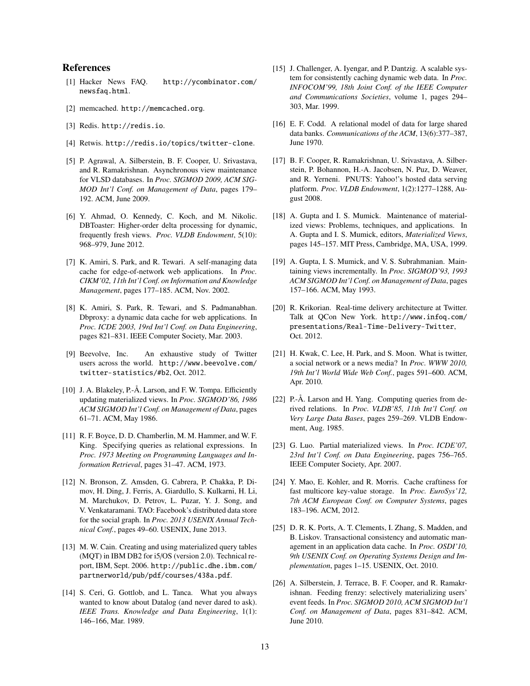## References

- [1] Hacker News FAQ. http://ycombinator.com/ newsfaq.html.
- [2] memcached. http://memcached.org.
- [3] Redis. http://redis.io.
- [4] Retwis. http://redis.io/topics/twitter-clone.
- [5] P. Agrawal, A. Silberstein, B. F. Cooper, U. Srivastava, and R. Ramakrishnan. Asynchronous view maintenance for VLSD databases. In *Proc. SIGMOD 2009, ACM SIG-MOD Int'l Conf. on Management of Data*, pages 179– 192. ACM, June 2009.
- [6] Y. Ahmad, O. Kennedy, C. Koch, and M. Nikolic. DBToaster: Higher-order delta processing for dynamic, frequently fresh views. *Proc. VLDB Endowment*, 5(10): 968–979, June 2012.
- [7] K. Amiri, S. Park, and R. Tewari. A self-managing data cache for edge-of-network web applications. In *Proc. CIKM'02, 11th Int'l Conf. on Information and Knowledge Management*, pages 177–185. ACM, Nov. 2002.
- [8] K. Amiri, S. Park, R. Tewari, and S. Padmanabhan. Dbproxy: a dynamic data cache for web applications. In *Proc. ICDE 2003, 19rd Int'l Conf. on Data Engineering*, pages 821–831. IEEE Computer Society, Mar. 2003.
- [9] Beevolve, Inc. An exhaustive study of Twitter users across the world. http://www.beevolve.com/ twitter-statistics/#b2, Oct. 2012.
- [10] J. A. Blakeley, P.-Å. Larson, and F. W. Tompa. Efficiently updating materialized views. In *Proc. SIGMOD'86, 1986 ACM SIGMOD Int'l Conf. on Management of Data*, pages 61–71. ACM, May 1986.
- [11] R. F. Boyce, D. D. Chamberlin, M. M. Hammer, and W. F. King. Specifying queries as relational expressions. In *Proc. 1973 Meeting on Programming Languages and Information Retrieval*, pages 31–47. ACM, 1973.
- [12] N. Bronson, Z. Amsden, G. Cabrera, P. Chakka, P. Dimov, H. Ding, J. Ferris, A. Giardullo, S. Kulkarni, H. Li, M. Marchukov, D. Petrov, L. Puzar, Y. J. Song, and V. Venkataramani. TAO: Facebook's distributed data store for the social graph. In *Proc. 2013 USENIX Annual Technical Conf.*, pages 49–60. USENIX, June 2013.
- [13] M. W. Cain. Creating and using materialized query tables (MQT) in IBM DB2 for i5/OS (version 2.0). Technical report, IBM, Sept. 2006. http://public.dhe.ibm.com/ partnerworld/pub/pdf/courses/438a.pdf.
- [14] S. Ceri, G. Gottlob, and L. Tanca. What you always wanted to know about Datalog (and never dared to ask). *IEEE Trans. Knowledge and Data Engineering*, 1(1): 146–166, Mar. 1989.
- [15] J. Challenger, A. Iyengar, and P. Dantzig. A scalable system for consistently caching dynamic web data. In *Proc. INFOCOM'99, 18th Joint Conf. of the IEEE Computer and Communications Societies*, volume 1, pages 294– 303, Mar. 1999.
- [16] E. F. Codd. A relational model of data for large shared data banks. *Communications of the ACM*, 13(6):377–387, June 1970.
- [17] B. F. Cooper, R. Ramakrishnan, U. Srivastava, A. Silberstein, P. Bohannon, H.-A. Jacobsen, N. Puz, D. Weaver, and R. Yerneni. PNUTS: Yahoo!'s hosted data serving platform. *Proc. VLDB Endowment*, 1(2):1277–1288, August 2008.
- [18] A. Gupta and I. S. Mumick. Maintenance of materialized views: Problems, techniques, and applications. In A. Gupta and I. S. Mumick, editors, *Materialized Views*, pages 145–157. MIT Press, Cambridge, MA, USA, 1999.
- [19] A. Gupta, I. S. Mumick, and V. S. Subrahmanian. Maintaining views incrementally. In *Proc. SIGMOD'93, 1993 ACM SIGMOD Int'l Conf. on Management of Data*, pages 157–166. ACM, May 1993.
- [20] R. Krikorian. Real-time delivery architecture at Twitter. Talk at QCon New York. http://www.infoq.com/ presentations/Real-Time-Delivery-Twitter, Oct. 2012.
- [21] H. Kwak, C. Lee, H. Park, and S. Moon. What is twitter, a social network or a news media? In *Proc. WWW 2010, 19th Int'l World Wide Web Conf.*, pages 591–600. ACM, Apr. 2010.
- [22] P.-Å. Larson and H. Yang. Computing queries from derived relations. In *Proc. VLDB'85, 11th Int'l Conf. on Very Large Data Bases*, pages 259–269. VLDB Endowment, Aug. 1985.
- [23] G. Luo. Partial materialized views. In *Proc. ICDE'07, 23rd Int'l Conf. on Data Engineering*, pages 756–765. IEEE Computer Society, Apr. 2007.
- [24] Y. Mao, E. Kohler, and R. Morris. Cache craftiness for fast multicore key-value storage. In *Proc. EuroSys'12, 7th ACM European Conf. on Computer Systems*, pages 183–196. ACM, 2012.
- [25] D. R. K. Ports, A. T. Clements, I. Zhang, S. Madden, and B. Liskov. Transactional consistency and automatic management in an application data cache. In *Proc. OSDI'10, 9th USENIX Conf. on Operating Systems Design and Implementation*, pages 1–15. USENIX, Oct. 2010.
- [26] A. Silberstein, J. Terrace, B. F. Cooper, and R. Ramakrishnan. Feeding frenzy: selectively materializing users' event feeds. In *Proc. SIGMOD 2010, ACM SIGMOD Int'l Conf. on Management of Data*, pages 831–842. ACM, June 2010.